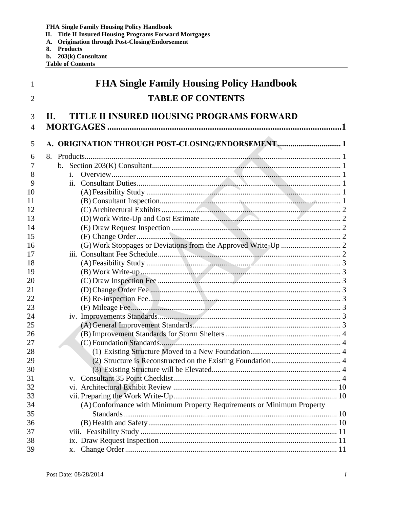- FHA Single Family Housing Policy Handbook<br>II. Title II Insured Housing Programs Forward Mortgages<br>A. Origination through Post-Closing/Endorsement
- 
- 8. Products
- b. 203(k) Consultant
- **Table of Contents**

| 1              | <b>FHA Single Family Housing Policy Handbook</b>                       |
|----------------|------------------------------------------------------------------------|
| 2              | <b>TABLE OF CONTENTS</b>                                               |
| 3              | TITLE II INSURED HOUSING PROGRAMS FORWARD<br>Н.                        |
| $\overline{4}$ |                                                                        |
| 5              | A. ORIGINATION THROUGH POST-CLOSING/ENDORSEMENT 1                      |
|                |                                                                        |
| 6<br>7         |                                                                        |
| 8              | $\mathbf{i}$ .                                                         |
| 9              | 11.                                                                    |
| 10             |                                                                        |
| 11             |                                                                        |
| 12             |                                                                        |
| 13             |                                                                        |
| 14             |                                                                        |
| 15             |                                                                        |
| 16             |                                                                        |
| 17             |                                                                        |
| 18             |                                                                        |
| 19             |                                                                        |
| 20             |                                                                        |
| 21             |                                                                        |
| 22             |                                                                        |
| 23             |                                                                        |
| 24             |                                                                        |
| 25             |                                                                        |
| 26             |                                                                        |
| 27             |                                                                        |
| 28             |                                                                        |
| 29             |                                                                        |
| 30             |                                                                        |
| 31             | $V_{\rm A}$                                                            |
| 32             |                                                                        |
| 33             |                                                                        |
| 34             | (A) Conformance with Minimum Property Requirements or Minimum Property |
| 35             |                                                                        |
| 36             |                                                                        |
| 37<br>38       |                                                                        |
| 39             |                                                                        |
|                |                                                                        |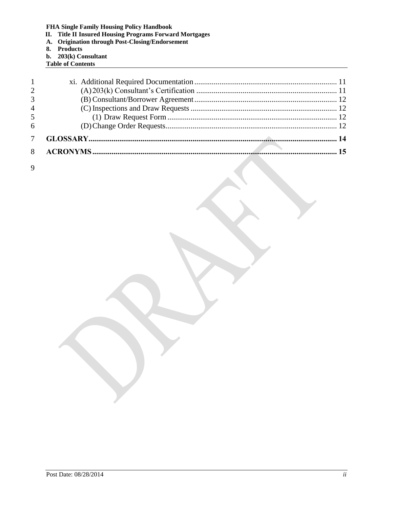- **II. Title II Insured Housing Programs Forward Mortgages**
- **A. Origination through Post-Closing/Endorsement**
- **8. Products**
- **b. 203(k) Consultant**
- **Table of Contents**

| 1              |  |
|----------------|--|
| 2              |  |
| 3              |  |
| $\overline{4}$ |  |
| -5             |  |
| 6              |  |
|                |  |
|                |  |

9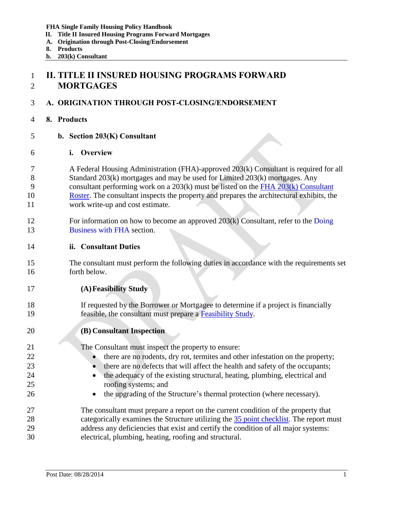- **II. Title II Insured Housing Programs Forward Mortgages**
- **A. Origination through Post-Closing/Endorsement**
- **8. Products**
- **b. 203(k) Consultant**

# <span id="page-2-0"></span> **II. TITLE II INSURED HOUSING PROGRAMS FORWARD MORTGAGES**

## <span id="page-2-1"></span>**A. ORIGINATION THROUGH POST-CLOSING/ENDORSEMENT**

- <span id="page-2-2"></span>**8. Products**
- <span id="page-2-3"></span>**b. Section 203(K) Consultant**
- <span id="page-2-4"></span>**i. Overview**
- A Federal Housing Administration (FHA)-approved 203(k) Consultant is required for all Standard 203(k) mortgages and may be used for Limited 203(k) mortgages. Any consultant performing work on a 203(k) must be listed on the [FHA 203\(k\) Consultant](https://entp.hud.gov/idapp/html/f17cnsltdata.cfm)  [Roster.](https://entp.hud.gov/idapp/html/f17cnsltdata.cfm) The consultant inspects the property and prepares the architectural exhibits, the work write-up and cost estimate.
- For information on how to become an approved 203(k) Consultant, refer to the Doing 13 Business with FHA section.
- <span id="page-2-5"></span>**ii. Consultant Duties**
- The consultant must perform the following duties in accordance with the requirements set forth below.
- <span id="page-2-6"></span>**(A)Feasibility Study**
- If requested by the Borrower or Mortgagee to determine if a project is financially feasible, the consultant must prepare a [Feasibility Study.](#page-12-0)
- <span id="page-2-7"></span>**(B) Consultant Inspection**

The Consultant must inspect the property to ensure:

- **there are no rodents, dry rot, termites and other infestation on the property;**
- **there are no defects that will affect the health and safety of the occupants;**
- **the adequacy of the existing structural, heating, plumbing, electrical and** roofing systems; and
- **the upgrading of the Structure's thermal protection (where necessary).**
- The consultant must prepare a report on the current condition of the property that 28 categorically examines the Structure utilizing the [35 point checklist.](#page-5-5) The report must address any deficiencies that exist and certify the condition of all major systems: electrical, plumbing, heating, roofing and structural.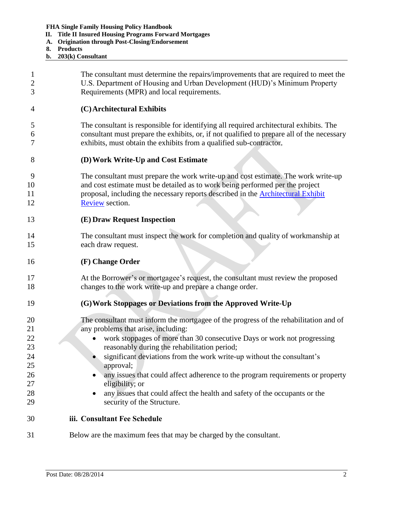- **II. Title II Insured Housing Programs Forward Mortgages**
- **A. Origination through Post-Closing/Endorsement**
- **8. Products**
- **b. 203(k) Consultant**

<span id="page-3-5"></span><span id="page-3-4"></span><span id="page-3-3"></span><span id="page-3-2"></span><span id="page-3-1"></span><span id="page-3-0"></span>

| 2<br>3              | The consultant must determine the repairs/improvements that are required to meet the<br>U.S. Department of Housing and Urban Development (HUD)'s Minimum Property<br>Requirements (MPR) and local requirements.                                                                   |
|---------------------|-----------------------------------------------------------------------------------------------------------------------------------------------------------------------------------------------------------------------------------------------------------------------------------|
| 4                   | (C) Architectural Exhibits                                                                                                                                                                                                                                                        |
| 5<br>6<br>7         | The consultant is responsible for identifying all required architectural exhibits. The<br>consultant must prepare the exhibits, or, if not qualified to prepare all of the necessary<br>exhibits, must obtain the exhibits from a qualified sub-contractor.                       |
| 8                   | (D) Work Write-Up and Cost Estimate                                                                                                                                                                                                                                               |
| 9<br>10<br>11<br>12 | The consultant must prepare the work write-up and cost estimate. The work write-up<br>and cost estimate must be detailed as to work being performed per the project<br>proposal, including the necessary reports described in the <b>Architectural Exhibit</b><br>Review section. |
| 13                  | (E) Draw Request Inspection                                                                                                                                                                                                                                                       |
| 14<br>15            | The consultant must inspect the work for completion and quality of workmanship at<br>each draw request.                                                                                                                                                                           |
| 16                  | (F) Change Order                                                                                                                                                                                                                                                                  |
| 17<br>18            | At the Borrower's or mortgagee's request, the consultant must review the proposed<br>changes to the work write-up and prepare a change order.                                                                                                                                     |
| 19                  | (G) Work Stoppages or Deviations from the Approved Write-Up                                                                                                                                                                                                                       |
| 20<br>21            | The consultant must inform the mortgagee of the progress of the rehabilitation and of<br>any problems that arise, including:                                                                                                                                                      |
| 22<br>23            | work stoppages of more than 30 consecutive Days or work not progressing<br>reasonably during the rehabilitation period;                                                                                                                                                           |
| 24                  | significant deviations from the work write-up without the consultant's                                                                                                                                                                                                            |
| 25<br>26            | approval;<br>any issues that could affect adherence to the program requirements or property<br>$\bullet$                                                                                                                                                                          |
| 27                  | eligibility; or                                                                                                                                                                                                                                                                   |
| 28                  | any issues that could affect the health and safety of the occupants or the                                                                                                                                                                                                        |
| 29                  | security of the Structure.                                                                                                                                                                                                                                                        |
| 30                  | iii. Consultant Fee Schedule                                                                                                                                                                                                                                                      |
| 31                  | Below are the maximum fees that may be charged by the consultant.                                                                                                                                                                                                                 |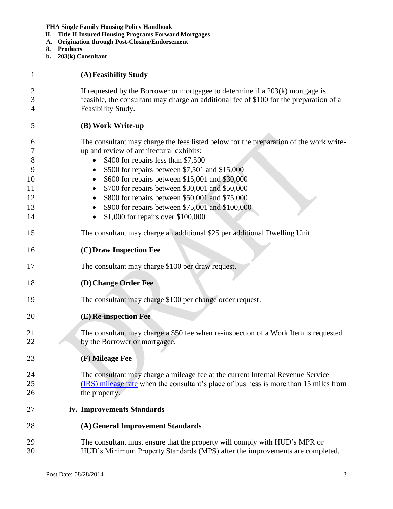- **II. Title II Insured Housing Programs Forward Mortgages**
- **A. Origination through Post-Closing/Endorsement**
- **8. Products**
- **b. 203(k) Consultant**

<span id="page-4-7"></span><span id="page-4-6"></span><span id="page-4-5"></span><span id="page-4-4"></span><span id="page-4-3"></span><span id="page-4-2"></span><span id="page-4-1"></span><span id="page-4-0"></span>

| 1                                              | (A) Feasibility Study                                                                                                                                                                                                                                                                                                                                                                                                                                                                       |
|------------------------------------------------|---------------------------------------------------------------------------------------------------------------------------------------------------------------------------------------------------------------------------------------------------------------------------------------------------------------------------------------------------------------------------------------------------------------------------------------------------------------------------------------------|
| 2<br>3<br>4                                    | If requested by the Borrower or mortgage to determine if a $203(k)$ mortgage is<br>feasible, the consultant may charge an additional fee of \$100 for the preparation of a<br>Feasibility Study.                                                                                                                                                                                                                                                                                            |
| 5                                              | (B) Work Write-up                                                                                                                                                                                                                                                                                                                                                                                                                                                                           |
| 6<br>7<br>8<br>9<br>10<br>11<br>12<br>13<br>14 | The consultant may charge the fees listed below for the preparation of the work write-<br>up and review of architectural exhibits:<br>\$400 for repairs less than \$7,500<br>\$500 for repairs between \$7,501 and \$15,000<br>$\bullet$<br>\$600 for repairs between \$15,001 and \$30,000<br>\$700 for repairs between \$30,001 and \$50,000<br>\$800 for repairs between \$50,001 and \$75,000<br>\$900 for repairs between \$75,001 and \$100,000<br>\$1,000 for repairs over \$100,000 |
| 15                                             | The consultant may charge an additional \$25 per additional Dwelling Unit.                                                                                                                                                                                                                                                                                                                                                                                                                  |
| 16                                             | (C) Draw Inspection Fee                                                                                                                                                                                                                                                                                                                                                                                                                                                                     |
| 17                                             | The consultant may charge \$100 per draw request.                                                                                                                                                                                                                                                                                                                                                                                                                                           |
| 18                                             | (D) Change Order Fee                                                                                                                                                                                                                                                                                                                                                                                                                                                                        |
| 19                                             | The consultant may charge \$100 per change order request.                                                                                                                                                                                                                                                                                                                                                                                                                                   |
| 20                                             | (E) Re-inspection Fee                                                                                                                                                                                                                                                                                                                                                                                                                                                                       |
| 21<br>22                                       | The consultant may charge a \$50 fee when re-inspection of a Work Item is requested<br>by the Borrower or mortgagee.                                                                                                                                                                                                                                                                                                                                                                        |
| 23                                             | (F) Mileage Fee                                                                                                                                                                                                                                                                                                                                                                                                                                                                             |
| 24<br>25<br>26                                 | The consultant may charge a mileage fee at the current Internal Revenue Service<br>(IRS) mileage rate when the consultant's place of business is more than 15 miles from<br>the property.                                                                                                                                                                                                                                                                                                   |
| 27                                             | iv. Improvements Standards                                                                                                                                                                                                                                                                                                                                                                                                                                                                  |
| 28                                             | (A) General Improvement Standards                                                                                                                                                                                                                                                                                                                                                                                                                                                           |
| 29<br>30                                       | The consultant must ensure that the property will comply with HUD's MPR or<br>HUD's Minimum Property Standards (MPS) after the improvements are completed.                                                                                                                                                                                                                                                                                                                                  |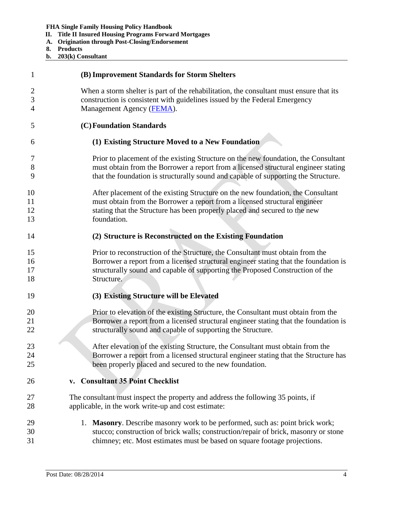- **II. Title II Insured Housing Programs Forward Mortgages**
- **A. Origination through Post-Closing/Endorsement**
- **8. Products**
- **b. 203(k) Consultant**

<span id="page-5-5"></span><span id="page-5-4"></span><span id="page-5-3"></span><span id="page-5-2"></span><span id="page-5-1"></span><span id="page-5-0"></span>

| 1              | (B) Improvement Standards for Storm Shelters                                            |
|----------------|-----------------------------------------------------------------------------------------|
| $\overline{2}$ | When a storm shelter is part of the rehabilitation, the consultant must ensure that its |
| 3              | construction is consistent with guidelines issued by the Federal Emergency              |
| $\overline{4}$ | Management Agency (FEMA).                                                               |
| 5              | (C) Foundation Standards                                                                |
| 6              | (1) Existing Structure Moved to a New Foundation                                        |
| 7              | Prior to placement of the existing Structure on the new foundation, the Consultant      |
| 8              | must obtain from the Borrower a report from a licensed structural engineer stating      |
| 9              | that the foundation is structurally sound and capable of supporting the Structure.      |
| 10             | After placement of the existing Structure on the new foundation, the Consultant         |
| 11             | must obtain from the Borrower a report from a licensed structural engineer              |
| 12             | stating that the Structure has been properly placed and secured to the new              |
| 13             | foundation.                                                                             |
| 14             | (2) Structure is Reconstructed on the Existing Foundation                               |
| 15             | Prior to reconstruction of the Structure, the Consultant must obtain from the           |
| 16             | Borrower a report from a licensed structural engineer stating that the foundation is    |
| 17             | structurally sound and capable of supporting the Proposed Construction of the           |
| 18             | Structure.                                                                              |
| 19             | (3) Existing Structure will be Elevated                                                 |
| 20             | Prior to elevation of the existing Structure, the Consultant must obtain from the       |
| 21             | Borrower a report from a licensed structural engineer stating that the foundation is    |
| 22             | structurally sound and capable of supporting the Structure.                             |
| 23             | After elevation of the existing Structure, the Consultant must obtain from the          |
| 24             | Borrower a report from a licensed structural engineer stating that the Structure has    |
| 25             | been properly placed and secured to the new foundation.                                 |
| 26             | <b>Consultant 35 Point Checklist</b><br>V.                                              |
| 27             | The consultant must inspect the property and address the following 35 points, if        |
| 28             | applicable, in the work write-up and cost estimate:                                     |
| 29             | 1. Masonry. Describe masonry work to be performed, such as: point brick work;           |
| 30             | stucco; construction of brick walls; construction/repair of brick, masonry or stone     |
| 31             | chimney; etc. Most estimates must be based on square footage projections.               |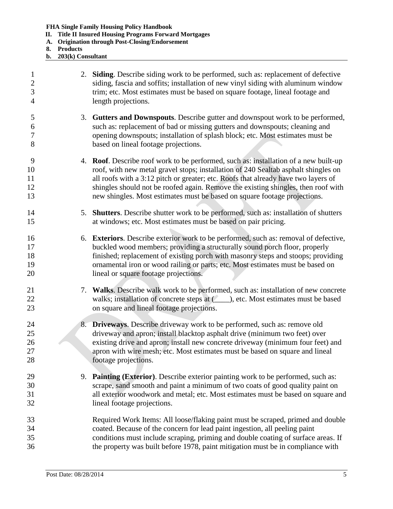- **II. Title II Insured Housing Programs Forward Mortgages**
- **A. Origination through Post-Closing/Endorsement**
- **8. Products**
- **b. 203(k) Consultant**

| $\mathbf{1}$<br>$\overline{2}$<br>3<br>$\overline{4}$ | 2. Siding. Describe siding work to be performed, such as: replacement of defective<br>siding, fascia and soffits; installation of new vinyl siding with aluminum window<br>trim; etc. Most estimates must be based on square footage, lineal footage and<br>length projections.                                                                                                                                                    |  |
|-------------------------------------------------------|------------------------------------------------------------------------------------------------------------------------------------------------------------------------------------------------------------------------------------------------------------------------------------------------------------------------------------------------------------------------------------------------------------------------------------|--|
| 5<br>6<br>7<br>8                                      | 3. Gutters and Downspouts. Describe gutter and downspout work to be performed,<br>such as: replacement of bad or missing gutters and downspouts; cleaning and<br>opening downspouts; installation of splash block; etc. Most estimates must be<br>based on lineal footage projections.                                                                                                                                             |  |
| 9<br>10<br>11<br>12<br>13                             | 4. Roof. Describe roof work to be performed, such as: installation of a new built-up<br>roof, with new metal gravel stops; installation of 240 Sealtab asphalt shingles on<br>all roofs with a 3:12 pitch or greater; etc. Roofs that already have two layers of<br>shingles should not be roofed again. Remove the existing shingles, then roof with<br>new shingles. Most estimates must be based on square footage projections. |  |
| 14<br>15                                              | 5. Shutters. Describe shutter work to be performed, such as: installation of shutters<br>at windows; etc. Most estimates must be based on pair pricing.                                                                                                                                                                                                                                                                            |  |
| 16<br>17<br>18<br>19<br>20                            | 6. Exteriors. Describe exterior work to be performed, such as: removal of defective,<br>buckled wood members; providing a structurally sound porch floor, properly<br>finished; replacement of existing porch with masonry steps and stoops; providing<br>ornamental iron or wood railing or parts; etc. Most estimates must be based on<br>lineal or square footage projections.                                                  |  |
| 21<br>22<br>23                                        | 7. Walks. Describe walk work to be performed, such as: installation of new concrete<br>walks; installation of concrete steps at (____), etc. Most estimates must be based<br>on square and lineal footage projections.                                                                                                                                                                                                             |  |
| 24<br>25<br>26<br>27<br>28                            | 8. Driveways. Describe driveway work to be performed, such as: remove old<br>driveway and apron; install blacktop asphalt drive (minimum two feet) over<br>existing drive and apron; install new concrete driveway (minimum four feet) and<br>apron with wire mesh; etc. Most estimates must be based on square and lineal<br>footage projections.                                                                                 |  |
| 29<br>30<br>31<br>32                                  | 9. Painting (Exterior). Describe exterior painting work to be performed, such as:<br>scrape, sand smooth and paint a minimum of two coats of good quality paint on<br>all exterior woodwork and metal; etc. Most estimates must be based on square and<br>lineal footage projections.                                                                                                                                              |  |
| 33<br>34<br>35<br>36                                  | Required Work Items: All loose/flaking paint must be scraped, primed and double<br>coated. Because of the concern for lead paint ingestion, all peeling paint<br>conditions must include scraping, priming and double coating of surface areas. If<br>the property was built before 1978, paint mitigation must be in compliance with                                                                                              |  |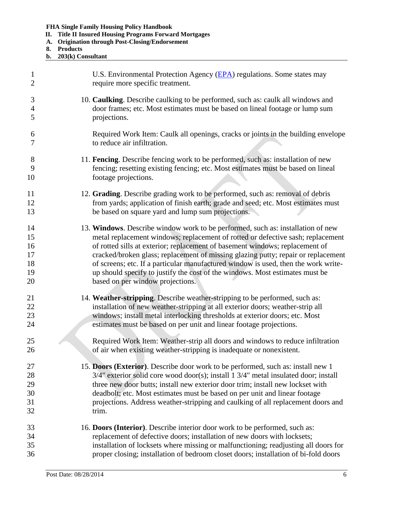- **II. Title II Insured Housing Programs Forward Mortgages**
- **A. Origination through Post-Closing/Endorsement**
- **8. Products**
- **b. 203(k) Consultant**

| $\mathbf{1}$   | U.S. Environmental Protection Agency (EPA) regulations. Some states may             |
|----------------|-------------------------------------------------------------------------------------|
| $\overline{2}$ | require more specific treatment.                                                    |
| 3              | 10. Caulking. Describe caulking to be performed, such as: caulk all windows and     |
| $\overline{4}$ | door frames; etc. Most estimates must be based on lineal footage or lump sum        |
| 5              | projections.                                                                        |
| 6              | Required Work Item: Caulk all openings, cracks or joints in the building envelope   |
| 7              | to reduce air infiltration.                                                         |
| 8              | 11. Fencing. Describe fencing work to be performed, such as: installation of new    |
| 9              | fencing; resetting existing fencing; etc. Most estimates must be based on lineal    |
| 10             | footage projections.                                                                |
| 11             | 12. Grading. Describe grading work to be performed, such as: removal of debris      |
| 12             | from yards; application of finish earth; grade and seed; etc. Most estimates must   |
| 13             | be based on square yard and lump sum projections.                                   |
| 14             | 13. Windows. Describe window work to be performed, such as: installation of new     |
| 15             | metal replacement windows; replacement of rotted or defective sash; replacement     |
| 16             | of rotted sills at exterior; replacement of basement windows; replacement of        |
| 17             | cracked/broken glass; replacement of missing glazing putty; repair or replacement   |
| 18             | of screens; etc. If a particular manufactured window is used, then the work write-  |
| 19             | up should specify to justify the cost of the windows. Most estimates must be        |
| 20             | based on per window projections.                                                    |
| 21             | 14. Weather-stripping. Describe weather-stripping to be performed, such as:         |
| 22             | installation of new weather-stripping at all exterior doors; weather-strip all      |
| 23             | windows; install metal interlocking thresholds at exterior doors; etc. Most         |
| 24             | estimates must be based on per unit and linear footage projections.                 |
| 25             | Required Work Item: Weather-strip all doors and windows to reduce infiltration      |
| 26             | of air when existing weather-stripping is inadequate or nonexistent.                |
| 27             | 15. Doors (Exterior). Describe door work to be performed, such as: install new 1    |
| 28             | 3/4" exterior solid core wood door(s); install 1 3/4" metal insulated door; install |
| 29             | three new door butts; install new exterior door trim; install new lockset with      |
| 30             | deadbolt; etc. Most estimates must be based on per unit and linear footage          |
| 31             | projections. Address weather-stripping and caulking of all replacement doors and    |
| 32             | trim.                                                                               |
| 33             | 16. Doors (Interior). Describe interior door work to be performed, such as:         |
| 34             | replacement of defective doors; installation of new doors with locksets;            |
| 35             | installation of locksets where missing or malfunctioning; readjusting all doors for |
| 36             | proper closing; installation of bedroom closet doors; installation of bi-fold doors |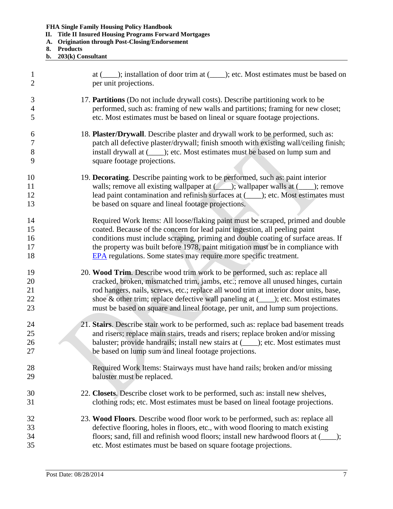- **II. Title II Insured Housing Programs Forward Mortgages**
- **A. Origination through Post-Closing/Endorsement**
- **8. Products**
- **b. 203(k) Consultant**

| $\mathbf{1}$   | at (____); installation of door trim at (____); etc. Most estimates must be based on  |
|----------------|---------------------------------------------------------------------------------------|
| $\overline{2}$ | per unit projections.                                                                 |
| 3              | 17. Partitions (Do not include drywall costs). Describe partitioning work to be       |
| $\overline{4}$ | performed, such as: framing of new walls and partitions; framing for new closet;      |
| 5              | etc. Most estimates must be based on lineal or square footage projections.            |
| 6              | 18. Plaster/Drywall. Describe plaster and drywall work to be performed, such as:      |
| $\overline{7}$ | patch all defective plaster/drywall; finish smooth with existing wall/ceiling finish; |
| 8              | install drywall at (_____); etc. Most estimates must be based on lump sum and         |
| 9              | square footage projections.                                                           |
| 10             | 19. Decorating. Describe painting work to be performed, such as: paint interior       |
| 11             | walls; remove all existing wallpaper at (Allen); wallpaper walls at (Allen); remove   |
| 12             | lead paint contamination and refinish surfaces at (____); etc. Most estimates must    |
| 13             | be based on square and lineal footage projections.                                    |
| 14             | Required Work Items: All loose/flaking paint must be scraped, primed and double       |
| 15             | coated. Because of the concern for lead paint ingestion, all peeling paint            |
| 16             | conditions must include scraping, priming and double coating of surface areas. If     |
| 17             | the property was built before 1978, paint mitigation must be in compliance with       |
| 18             | <b>EPA</b> regulations. Some states may require more specific treatment.              |
| 19             | 20. Wood Trim. Describe wood trim work to be performed, such as: replace all          |
| 20             | cracked, broken, mismatched trim, jambs, etc.; remove all unused hinges, curtain      |
| 21             | rod hangers, nails, screws, etc.; replace all wood trim at interior door units, base, |
| 22             | shoe & other trim; replace defective wall paneling at $(\_\_$ ; etc. Most estimates   |
| 23             | must be based on square and lineal footage, per unit, and lump sum projections.       |
| 24             | 21. Stairs. Describe stair work to be performed, such as: replace bad basement treads |
| 25             | and risers; replace main stairs, treads and risers; replace broken and/or missing     |
| 26             | baluster; provide handrails; install new stairs at (_____); etc. Most estimates must  |
| 27             | be based on lump sum and lineal footage projections.                                  |
| 28             | Required Work Items: Stairways must have hand rails; broken and/or missing            |
| 29             | baluster must be replaced.                                                            |
| 30             | 22. Closets. Describe closet work to be performed, such as: install new shelves,      |
| 31             | clothing rods; etc. Most estimates must be based on lineal footage projections.       |
| 32             | 23. Wood Floors. Describe wood floor work to be performed, such as: replace all       |
| 33             | defective flooring, holes in floors, etc., with wood flooring to match existing       |
| 34             | floors; sand, fill and refinish wood floors; install new hardwood floors at (____);   |
| 35             | etc. Most estimates must be based on square footage projections.                      |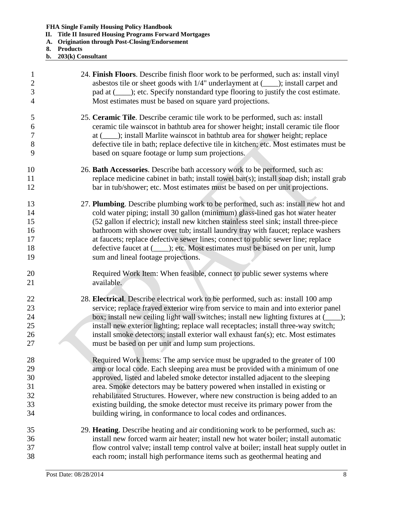- **II. Title II Insured Housing Programs Forward Mortgages**
- **A. Origination through Post-Closing/Endorsement**
- **8. Products**
- **b. 203(k) Consultant**

| $\mathbf{1}$   | 24. Finish Floors. Describe finish floor work to be performed, such as: install vinyl    |
|----------------|------------------------------------------------------------------------------------------|
| $\sqrt{2}$     | asbestos tile or sheet goods with $1/4$ " underlayment at $($ , $)$ ; install carpet and |
| $\overline{3}$ | pad at (_____); etc. Specify nonstandard type flooring to justify the cost estimate.     |
| $\overline{4}$ | Most estimates must be based on square yard projections.                                 |
| 5              | 25. Ceramic Tile. Describe ceramic tile work to be performed, such as: install           |
| 6              | ceramic tile wainscot in bathtub area for shower height; install ceramic tile floor      |
| $\tau$         | at (_____); install Marlite wainscot in bathtub area for shower height; replace          |
| $8\,$          | defective tile in bath; replace defective tile in kitchen; etc. Most estimates must be   |
| 9              | based on square footage or lump sum projections.                                         |
| 10             | 26. Bath Accessories. Describe bath accessory work to be performed, such as:             |
| 11             | replace medicine cabinet in bath; install towel bar(s); install soap dish; install grab  |
| 12             | bar in tub/shower; etc. Most estimates must be based on per unit projections.            |
| 13             | 27. Plumbing. Describe plumbing work to be performed, such as: install new hot and       |
| 14             | cold water piping; install 30 gallon (minimum) glass-lined gas hot water heater          |
| 15             | (52 gallon if electric); install new kitchen stainless steel sink; install three-piece   |
| 16             | bathroom with shower over tub; install laundry tray with faucet; replace washers         |
| 17             | at faucets; replace defective sewer lines; connect to public sewer line; replace         |
| 18             | defective faucet at (_____); etc. Most estimates must be based on per unit, lump         |
| 19             | sum and lineal footage projections.                                                      |
| 20             | Required Work Item: When feasible, connect to public sewer systems where                 |
| 21             | available.                                                                               |
| 22             | 28. Electrical. Describe electrical work to be performed, such as: install 100 amp       |
| 23             | service; replace frayed exterior wire from service to main and into exterior panel       |
| 24             | box; install new ceiling light wall switches; install new lighting fixtures at (___);    |
| 25             | install new exterior lighting; replace wall receptacles; install three-way switch;       |
| 26             | install smoke detectors; install exterior wall exhaust fan(s); etc. Most estimates       |
| 27             | must be based on per unit and lump sum projections.                                      |
| 28             | Required Work Items: The amp service must be upgraded to the greater of 100              |
| 29             | amp or local code. Each sleeping area must be provided with a minimum of one             |
| 30             | approved, listed and labeled smoke detector installed adjacent to the sleeping           |
| 31             | area. Smoke detectors may be battery powered when installed in existing or               |
| 32             | rehabilitated Structures. However, where new construction is being added to an           |
| 33             | existing building, the smoke detector must receive its primary power from the            |
| 34             | building wiring, in conformance to local codes and ordinances.                           |
| 35             | 29. Heating. Describe heating and air conditioning work to be performed, such as:        |
| 36             | install new forced warm air heater; install new hot water boiler; install automatic      |
| 37             | flow control valve; install temp control valve at boiler; install heat supply outlet in  |
| 38             | each room; install high performance items such as geothermal heating and                 |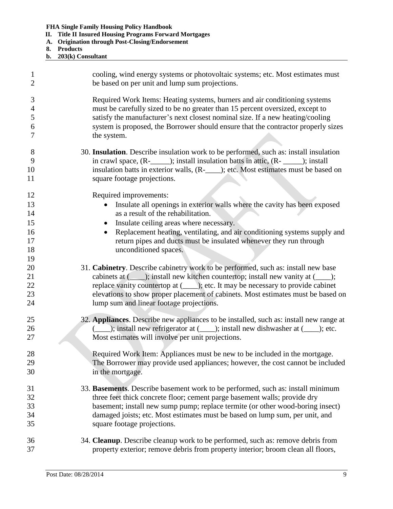- **II. Title II Insured Housing Programs Forward Mortgages**
- **A. Origination through Post-Closing/Endorsement**
- **8. Products**
- **b. 203(k) Consultant**

| $\mathbf{1}$                           | cooling, wind energy systems or photovoltaic systems; etc. Most estimates must                                                                                                                                                                                                                                                                                                                |
|----------------------------------------|-----------------------------------------------------------------------------------------------------------------------------------------------------------------------------------------------------------------------------------------------------------------------------------------------------------------------------------------------------------------------------------------------|
| $\overline{2}$                         | be based on per unit and lump sum projections.                                                                                                                                                                                                                                                                                                                                                |
| 3                                      | Required Work Items: Heating systems, burners and air conditioning systems                                                                                                                                                                                                                                                                                                                    |
| $\overline{4}$                         | must be carefully sized to be no greater than 15 percent oversized, except to                                                                                                                                                                                                                                                                                                                 |
| 5                                      | satisfy the manufacturer's next closest nominal size. If a new heating/cooling                                                                                                                                                                                                                                                                                                                |
| 6                                      | system is proposed, the Borrower should ensure that the contractor properly sizes                                                                                                                                                                                                                                                                                                             |
| 7                                      | the system.                                                                                                                                                                                                                                                                                                                                                                                   |
| 8                                      | 30. Insulation. Describe insulation work to be performed, such as: install insulation                                                                                                                                                                                                                                                                                                         |
| 9                                      | in crawl space, (R-_______); install insulation batts in attic, (R- ______); install                                                                                                                                                                                                                                                                                                          |
| 10                                     | insulation batts in exterior walls, (R-____); etc. Most estimates must be based on                                                                                                                                                                                                                                                                                                            |
| 11                                     | square footage projections.                                                                                                                                                                                                                                                                                                                                                                   |
| 12<br>13<br>14<br>15<br>16<br>17<br>18 | Required improvements:<br>Insulate all openings in exterior walls where the cavity has been exposed<br>as a result of the rehabilitation.<br>Insulate ceiling areas where necessary.<br>Replacement heating, ventilating, and air conditioning systems supply and<br>$\bullet$<br>return pipes and ducts must be insulated whenever they run through<br>unconditioned spaces.                 |
| 19<br>20<br>21<br>22<br>23<br>24       | 31. Cabinetry. Describe cabinetry work to be performed, such as: install new base<br>cabinets at (______); install new kitchen countertop; install new vanity at (_____);<br>replace vanity countertop at (____); etc. It may be necessary to provide cabinet<br>elevations to show proper placement of cabinets. Most estimates must be based on<br>lump sum and linear footage projections. |
| 25                                     | 32. Appliances. Describe new appliances to be installed, such as: install new range at                                                                                                                                                                                                                                                                                                        |
| 26                                     | ( ____); install new refrigerator at ( ____); install new dishwasher at ( ____); etc.                                                                                                                                                                                                                                                                                                         |
| 27                                     | Most estimates will involve per unit projections.                                                                                                                                                                                                                                                                                                                                             |
| 28                                     | Required Work Item: Appliances must be new to be included in the mortgage.                                                                                                                                                                                                                                                                                                                    |
| 29                                     | The Borrower may provide used appliances; however, the cost cannot be included                                                                                                                                                                                                                                                                                                                |
| 30                                     | in the mortgage.                                                                                                                                                                                                                                                                                                                                                                              |
| 31                                     | 33. Basements. Describe basement work to be performed, such as: install minimum                                                                                                                                                                                                                                                                                                               |
| 32                                     | three feet thick concrete floor; cement parge basement walls; provide dry                                                                                                                                                                                                                                                                                                                     |
| 33                                     | basement; install new sump pump; replace termite (or other wood-boring insect)                                                                                                                                                                                                                                                                                                                |
| 34                                     | damaged joists; etc. Most estimates must be based on lump sum, per unit, and                                                                                                                                                                                                                                                                                                                  |
| 35                                     | square footage projections.                                                                                                                                                                                                                                                                                                                                                                   |
| 36                                     | 34. Cleanup. Describe cleanup work to be performed, such as: remove debris from                                                                                                                                                                                                                                                                                                               |
| 37                                     | property exterior; remove debris from property interior; broom clean all floors,                                                                                                                                                                                                                                                                                                              |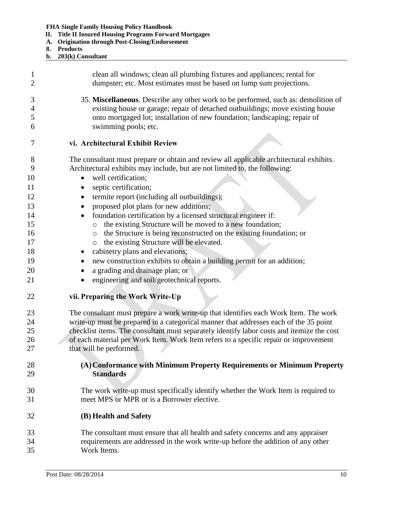<span id="page-11-3"></span><span id="page-11-2"></span><span id="page-11-1"></span><span id="page-11-0"></span>

|                                                                                | <b>FHA Single Family Housing Policy Handbook</b><br><b>Title II Insured Housing Programs Forward Mortgages</b><br>П.<br><b>Origination through Post-Closing/Endorsement</b><br>A.<br><b>Products</b><br>8.<br>203(k) Consultant<br>b.                                                                                                                                                                                                                                                                                                                                                                                                                                                                                                                                                            |
|--------------------------------------------------------------------------------|--------------------------------------------------------------------------------------------------------------------------------------------------------------------------------------------------------------------------------------------------------------------------------------------------------------------------------------------------------------------------------------------------------------------------------------------------------------------------------------------------------------------------------------------------------------------------------------------------------------------------------------------------------------------------------------------------------------------------------------------------------------------------------------------------|
| 1                                                                              | clean all windows; clean all plumbing fixtures and appliances; rental for                                                                                                                                                                                                                                                                                                                                                                                                                                                                                                                                                                                                                                                                                                                        |
| 2                                                                              | dumpster; etc. Most estimates must be based on lump sum projections.                                                                                                                                                                                                                                                                                                                                                                                                                                                                                                                                                                                                                                                                                                                             |
| 3                                                                              | 35. Miscellaneous. Describe any other work to be performed, such as: demolition of                                                                                                                                                                                                                                                                                                                                                                                                                                                                                                                                                                                                                                                                                                               |
| 4                                                                              | existing house or garage; repair of detached outbuildings; move existing house                                                                                                                                                                                                                                                                                                                                                                                                                                                                                                                                                                                                                                                                                                                   |
| 5                                                                              | onto mortgaged lot; installation of new foundation; landscaping; repair of                                                                                                                                                                                                                                                                                                                                                                                                                                                                                                                                                                                                                                                                                                                       |
| 6                                                                              | swimming pools; etc.                                                                                                                                                                                                                                                                                                                                                                                                                                                                                                                                                                                                                                                                                                                                                                             |
| 7                                                                              | vi. Architectural Exhibit Review                                                                                                                                                                                                                                                                                                                                                                                                                                                                                                                                                                                                                                                                                                                                                                 |
| 8<br>9<br>10<br>11<br>12<br>13<br>14<br>15<br>16<br>17<br>18<br>19<br>20<br>21 | The consultant must prepare or obtain and review all applicable architectural exhibits.<br>Architectural exhibits may include, but are not limited to, the following:<br>well certification;<br>septic certification;<br>termite report (including all outbuildings);<br>proposed plot plans for new additions;<br>foundation certification by a licensed structural engineer if:<br>the existing Structure will be moved to a new foundation;<br>$\circ$<br>the Structure is being reconstructed on the existing foundation; or<br>$\circ$<br>the existing Structure will be elevated.<br>$\circ$<br>cabinetry plans and elevations;<br>new construction exhibits to obtain a building permit for an addition;<br>a grading and drainage plan; or<br>engineering and soil/geotechnical reports. |
| 22                                                                             | vii. Preparing the Work Write-Up                                                                                                                                                                                                                                                                                                                                                                                                                                                                                                                                                                                                                                                                                                                                                                 |
| $23\,$                                                                         | The consultant must prepare a work write-up that identifies each Work Item. The work                                                                                                                                                                                                                                                                                                                                                                                                                                                                                                                                                                                                                                                                                                             |
| 24                                                                             | write-up must be prepared in a categorical manner that addresses each of the 35 point                                                                                                                                                                                                                                                                                                                                                                                                                                                                                                                                                                                                                                                                                                            |
| 25                                                                             | checklist items. The consultant must separately identify labor costs and itemize the cost                                                                                                                                                                                                                                                                                                                                                                                                                                                                                                                                                                                                                                                                                                        |
| 26                                                                             | of each material per Work Item. Work Item refers to a specific repair or improvement                                                                                                                                                                                                                                                                                                                                                                                                                                                                                                                                                                                                                                                                                                             |
| 27                                                                             | that will be performed.                                                                                                                                                                                                                                                                                                                                                                                                                                                                                                                                                                                                                                                                                                                                                                          |
| 28                                                                             | (A) Conformance with Minimum Property Requirements or Minimum Property                                                                                                                                                                                                                                                                                                                                                                                                                                                                                                                                                                                                                                                                                                                           |
| 29                                                                             | <b>Standards</b>                                                                                                                                                                                                                                                                                                                                                                                                                                                                                                                                                                                                                                                                                                                                                                                 |
| 30                                                                             | The work write-up must specifically identify whether the Work Item is required to                                                                                                                                                                                                                                                                                                                                                                                                                                                                                                                                                                                                                                                                                                                |
| 31                                                                             | meet MPS or MPR or is a Borrower elective.                                                                                                                                                                                                                                                                                                                                                                                                                                                                                                                                                                                                                                                                                                                                                       |
| 32                                                                             | (B) Health and Safety                                                                                                                                                                                                                                                                                                                                                                                                                                                                                                                                                                                                                                                                                                                                                                            |
| 33                                                                             | The consultant must ensure that all health and safety concerns and any appraiser                                                                                                                                                                                                                                                                                                                                                                                                                                                                                                                                                                                                                                                                                                                 |
| 34                                                                             | requirements are addressed in the work write-up before the addition of any other                                                                                                                                                                                                                                                                                                                                                                                                                                                                                                                                                                                                                                                                                                                 |
| 35                                                                             | Work Items.                                                                                                                                                                                                                                                                                                                                                                                                                                                                                                                                                                                                                                                                                                                                                                                      |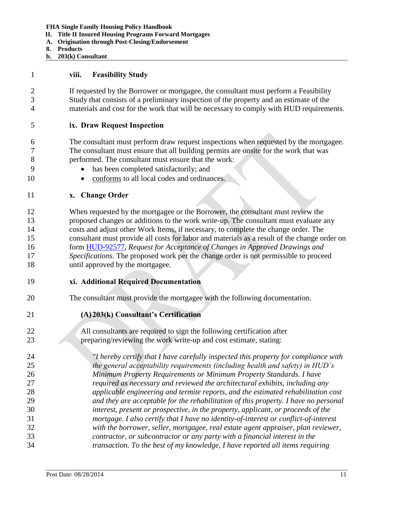- **II. Title II Insured Housing Programs Forward Mortgages**
- **A. Origination through Post-Closing/Endorsement**
- **8. Products**
- **b. 203(k) Consultant**

<span id="page-12-0"></span>

|  | VIII. | <b>Feasibility Study</b> |  |
|--|-------|--------------------------|--|
|--|-------|--------------------------|--|

 If requested by the Borrower or mortgagee, the consultant must perform a Feasibility Study that consists of a preliminary inspection of the property and an estimate of the materials and cost for the work that will be necessary to comply with HUD requirements.

- <span id="page-12-1"></span>**ix. Draw Request Inspection**
- The consultant must perform draw request inspections when requested by the mortgagee. The consultant must ensure that all building permits are onsite for the work that was performed. The consultant must ensure that the work:
- has been completed satisfactorily; and
- 10 conforms to all local codes and ordinances.
- <span id="page-12-2"></span>**x. Change Order**

 When requested by the mortgagee or the Borrower, the consultant must review the proposed changes or additions to the work write-up. The consultant must evaluate any costs and adjust other Work Items, if necessary, to complete the change order. The consultant must provide all costs for labor and materials as a result of the change order on form [HUD-92577,](http://portal.hud.gov/hudportal/HUD?src=/program_offices/administration/hudclips/forms/hud9a) *Request for Acceptance of Changes in Approved Drawings and Specifications*. The proposed work per the change order is not permissible to proceed 18 until approved by the mortgagee.

- <span id="page-12-3"></span>**xi. Additional Required Documentation**
- The consultant must provide the mortgagee with the following documentation.
- <span id="page-12-4"></span>**(A)203(k) Consultant's Certification**

 All consultants are required to sign the following certification after preparing/reviewing the work write-up and cost estimate, stating:

 *"I hereby certify that I have carefully inspected this property for compliance with the general acceptability requirements (including health and safety) in HUD's Minimum Property Requirements or Minimum Property Standards. I have required as necessary and reviewed the architectural exhibits, including any applicable engineering and termite reports, and the estimated rehabilitation cost and they are acceptable for the rehabilitation of this property. I have no personal interest, present or prospective, in the property, applicant, or proceeds of the mortgage. I also certify that I have no identity-of-interest or conflict-of-interest with the borrower, seller, mortgagee, real estate agent appraiser, plan reviewer, contractor, or subcontractor or any party with a financial interest in the transaction. To the best of my knowledge, I have reported all items requiring*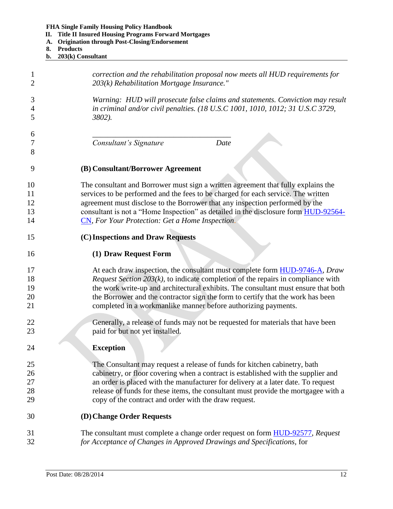- **II. Title II Insured Housing Programs Forward Mortgages**
- **A. Origination through Post-Closing/Endorsement**
- **8. Products**
- **b. 203(k) Consultant**

<span id="page-13-3"></span><span id="page-13-2"></span><span id="page-13-1"></span><span id="page-13-0"></span>

| 1<br>$\overline{2}$ | correction and the rehabilitation proposal now meets all HUD requirements for<br>203(k) Rehabilitation Mortgage Insurance."                                      |
|---------------------|------------------------------------------------------------------------------------------------------------------------------------------------------------------|
| 3<br>$\overline{4}$ | Warning: HUD will prosecute false claims and statements. Conviction may result<br>in criminal and/or civil penalties. (18 U.S.C 1001, 1010, 1012; 31 U.S.C 3729, |
| 5                   | 3802).                                                                                                                                                           |
| 6                   |                                                                                                                                                                  |
| 7                   | Consultant's Signature<br>Date                                                                                                                                   |
| 8                   |                                                                                                                                                                  |
| 9                   | (B) Consultant/Borrower Agreement                                                                                                                                |
| 10                  | The consultant and Borrower must sign a written agreement that fully explains the                                                                                |
| 11                  | services to be performed and the fees to be charged for each service. The written                                                                                |
| 12                  | agreement must disclose to the Borrower that any inspection performed by the                                                                                     |
| 13                  | consultant is not a "Home Inspection" as detailed in the disclosure form HUD-92564-                                                                              |
| 14                  | CN, For Your Protection: Get a Home Inspection.                                                                                                                  |
| 15                  | (C) Inspections and Draw Requests                                                                                                                                |
| 16                  | (1) Draw Request Form                                                                                                                                            |
| 17                  | At each draw inspection, the consultant must complete form HUD-9746-A, Draw                                                                                      |
| 18                  | <i>Request Section 203(k)</i> , to indicate completion of the repairs in compliance with                                                                         |
| 19                  | the work write-up and architectural exhibits. The consultant must ensure that both                                                                               |
| 20                  | the Borrower and the contractor sign the form to certify that the work has been                                                                                  |
| 21                  | completed in a workmanlike manner before authorizing payments.                                                                                                   |
| 22                  | Generally, a release of funds may not be requested for materials that have been                                                                                  |
| 23                  | paid for but not yet installed.                                                                                                                                  |
| 24                  | <b>Exception</b>                                                                                                                                                 |
| 25                  | The Consultant may request a release of funds for kitchen cabinetry, bath                                                                                        |
| 26                  | cabinetry, or floor covering when a contract is established with the supplier and                                                                                |
| 27                  | an order is placed with the manufacturer for delivery at a later date. To request                                                                                |
| 28                  | release of funds for these items, the consultant must provide the mortgagee with a                                                                               |
| 29                  | copy of the contract and order with the draw request.                                                                                                            |
| 30                  | (D) Change Order Requests                                                                                                                                        |
| 31                  | The consultant must complete a change order request on form <b>HUD-92577</b> , Request                                                                           |
| 32                  | for Acceptance of Changes in Approved Drawings and Specifications, for                                                                                           |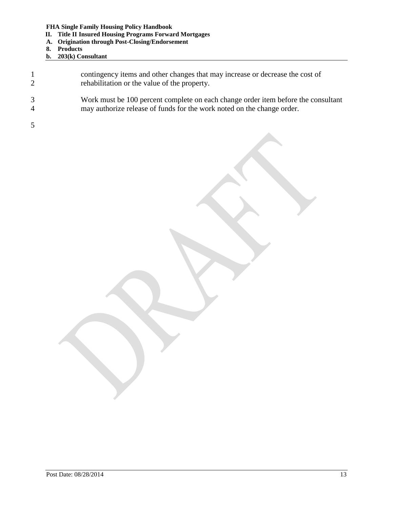- **II. Title II Insured Housing Programs Forward Mortgages**
- **A. Origination through Post-Closing/Endorsement**
- **8. Products**
- **b. 203(k) Consultant**

| 2 | contingency items and other changes that may increase or decrease the cost of<br>rehabilitation or the value of the property.                               |
|---|-------------------------------------------------------------------------------------------------------------------------------------------------------------|
| 4 | Work must be 100 percent complete on each change order item before the consultant<br>may authorize release of funds for the work noted on the change order. |
|   |                                                                                                                                                             |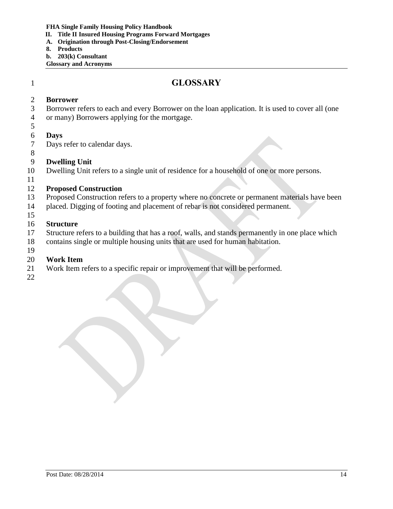- **II. Title II Insured Housing Programs Forward Mortgages**
- **A. Origination through Post-Closing/Endorsement**
- **8. Products**
- **b. 203(k) Consultant**

**Glossary and Acronyms**

# <span id="page-15-0"></span>**GLOSSARY**

#### **Borrower**

- Borrower refers to each and every Borrower on the loan application. It is used to cover all (one
- or many) Borrowers applying for the mortgage.

### **Days**

- Days refer to calendar days.
- 

### **Dwelling Unit**

Dwelling Unit refers to a single unit of residence for a household of one or more persons.

### **Proposed Construction**

- Proposed Construction refers to a property where no concrete or permanent materials have been
- placed. Digging of footing and placement of rebar is not considered permanent.
- 

# **Structure**

- Structure refers to a building that has a roof, walls, and stands permanently in one place which
- contains single or multiple housing units that are used for human habitation.
- 

## **Work Item**

- Work Item refers to a specific repair or improvement that will be performed.
-